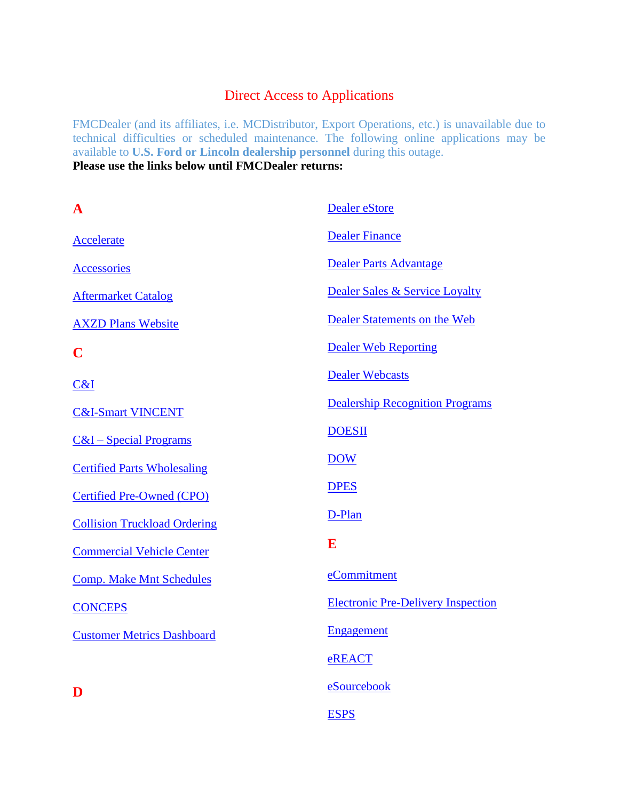### Direct Access to Applications

FMCDealer (and its affiliates, i.e. MCDistributor, Export Operations, etc.) is unavailable due to technical difficulties or scheduled maintenance. The following online applications may be available to **U.S. Ford or Lincoln dealership personnel** during this outage. **Please use the links below until FMCDealer returns:**

| $\mathbf A$                         | Dealer eStore                             |
|-------------------------------------|-------------------------------------------|
| Accelerate                          | <b>Dealer Finance</b>                     |
| <b>Accessories</b>                  | <b>Dealer Parts Advantage</b>             |
| <b>Aftermarket Catalog</b>          | Dealer Sales & Service Loyalty            |
| <b>AXZD Plans Website</b>           | Dealer Statements on the Web              |
| $\mathbf C$                         | <b>Dealer Web Reporting</b>               |
| C&I                                 | <b>Dealer Webcasts</b>                    |
| <b>C&amp;I-Smart VINCENT</b>        | <b>Dealership Recognition Programs</b>    |
| $C&I-Special Programs$              | <b>DOESII</b>                             |
| <b>Certified Parts Wholesaling</b>  | <b>DOW</b>                                |
| <b>Certified Pre-Owned (CPO)</b>    | <b>DPES</b>                               |
| <b>Collision Truckload Ordering</b> | D-Plan                                    |
| <b>Commercial Vehicle Center</b>    | E                                         |
| <b>Comp. Make Mnt Schedules</b>     | eCommitment                               |
| <b>CONCEPS</b>                      | <b>Electronic Pre-Delivery Inspection</b> |
| <b>Customer Metrics Dashboard</b>   | <b>Engagement</b>                         |
|                                     | eREACT                                    |
| D                                   | eSourcebook                               |
|                                     | <b>ESPS</b>                               |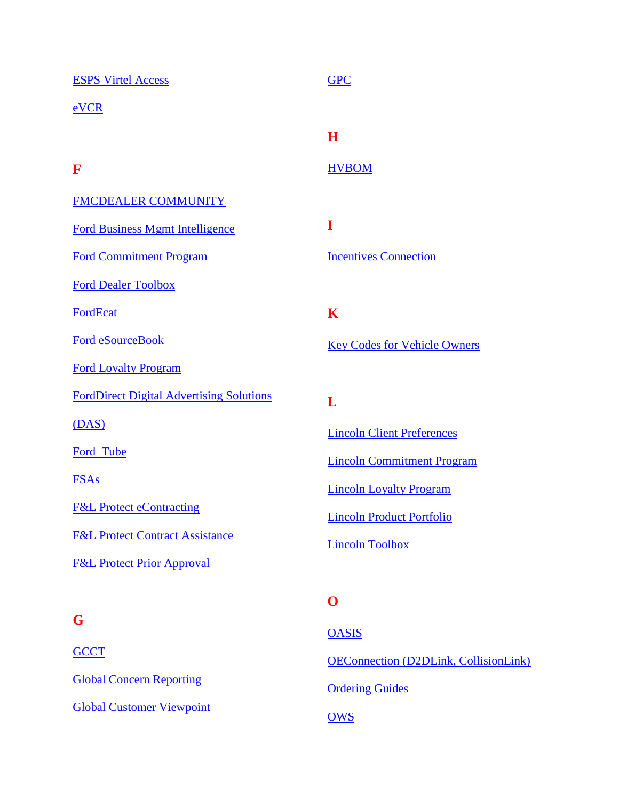| <b>ESPS Virtel Access</b>                       | <b>GPC</b>           |
|-------------------------------------------------|----------------------|
| eVCR                                            |                      |
|                                                 | H                    |
| F                                               | <b>HVBOM</b>         |
| <b>FMCDEALER COMMUNITY</b>                      |                      |
| <b>Ford Business Mgmt Intelligence</b>          | I                    |
| <b>Ford Commitment Program</b>                  | <b>Incentives Co</b> |
| <b>Ford Dealer Toolbox</b>                      |                      |
| FordEcat                                        | K                    |
| <b>Ford eSourceBook</b>                         | <b>Key Codes fo</b>  |
| <b>Ford Loyalty Program</b>                     |                      |
| <b>FordDirect Digital Advertising Solutions</b> | L                    |
| (DAS)                                           | <b>Lincoln Clien</b> |
| Ford Tube                                       | <b>Lincoln Comi</b>  |
| <b>FSAs</b>                                     | <b>Lincoln Loya</b>  |
| <b>F&amp;L Protect eContracting</b>             | <b>Lincoln Produ</b> |
| <b>F&amp;L Protect Contract Assistance</b>      | <b>Lincoln Tooll</b> |
| <b>F&amp;L Protect Prior Approval</b>           |                      |
|                                                 | O                    |

# **G**

**[GCCT](https://gcct.microsoftcrmportals.com/)** [Global Concern Reporting](https://www.gcr.dealerconnection.com/asp/forddealermenu.asp) [Global Customer Viewpoint](http://www.fordcvp.dealerconnection.com/) **Innection** or Vehicle Owners nt Preferences mitment Program alty Program

uct Portfolio

 $box$ 

### **O**

**[OASIS](http://www.proservicetech.com/)** [OEConnection \(D2DLink, CollisionLink\)](http://www.oeconnection.com/) **[Ordering Guides](https://www.fleet.ford.com/OrderingCenter/order_guides/default.asp) [OWS](https://www.warrantyprocessing.dealerconnection.com/)**